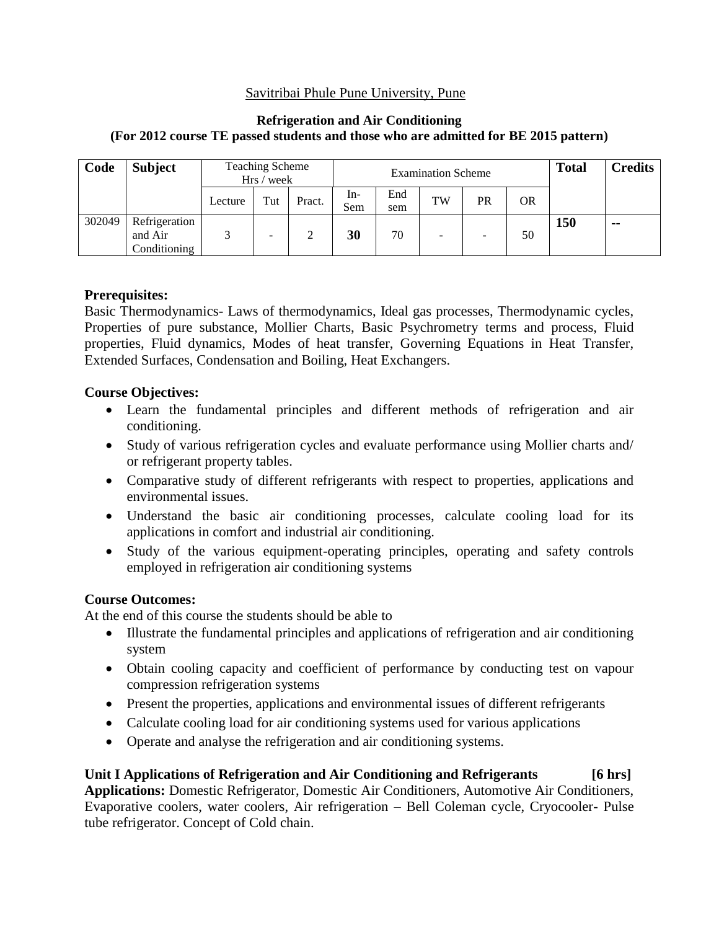# Savitribai Phule Pune University, Pune

### **Refrigeration and Air Conditioning (For 2012 course TE passed students and those who are admitted for BE 2015 pattern)**

| Code   | <b>Subject</b>                           | <b>Teaching Scheme</b><br>Hrs / week |     |        | <b>Examination Scheme</b> |            |                          |    |           | <b>Total</b> | <b>Credits</b> |
|--------|------------------------------------------|--------------------------------------|-----|--------|---------------------------|------------|--------------------------|----|-----------|--------------|----------------|
|        |                                          | Lecture                              | Tut | Pract. | -In<br>Sem                | End<br>sem | TW                       | PR | <b>OR</b> |              |                |
| 302049 | Refrigeration<br>and Air<br>Conditioning |                                      | -   |        | 30                        | 70         | $\overline{\phantom{a}}$ | -  | 50        | 150          | --             |

## **Prerequisites:**

Basic Thermodynamics- Laws of thermodynamics, Ideal gas processes, Thermodynamic cycles, Properties of pure substance, Mollier Charts, Basic Psychrometry terms and process, Fluid properties, Fluid dynamics, Modes of heat transfer, Governing Equations in Heat Transfer, Extended Surfaces, Condensation and Boiling, Heat Exchangers.

### **Course Objectives:**

- Learn the fundamental principles and different methods of refrigeration and air conditioning.
- Study of various refrigeration cycles and evaluate performance using Mollier charts and/ or refrigerant property tables.
- Comparative study of different refrigerants with respect to properties, applications and environmental issues.
- Understand the basic air conditioning processes, calculate cooling load for its applications in comfort and industrial air conditioning.
- Study of the various equipment-operating principles, operating and safety controls employed in refrigeration air conditioning systems

### **Course Outcomes:**

At the end of this course the students should be able to

- Illustrate the fundamental principles and applications of refrigeration and air conditioning system
- Obtain cooling capacity and coefficient of performance by conducting test on vapour compression refrigeration systems
- Present the properties, applications and environmental issues of different refrigerants
- Calculate cooling load for air conditioning systems used for various applications
- Operate and analyse the refrigeration and air conditioning systems.

**Unit I Applications of Refrigeration and Air Conditioning and Refrigerants [6 hrs] Applications:** Domestic Refrigerator, Domestic Air Conditioners, Automotive Air Conditioners, Evaporative coolers, water coolers, Air refrigeration – Bell Coleman cycle, Cryocooler- Pulse tube refrigerator. Concept of Cold chain.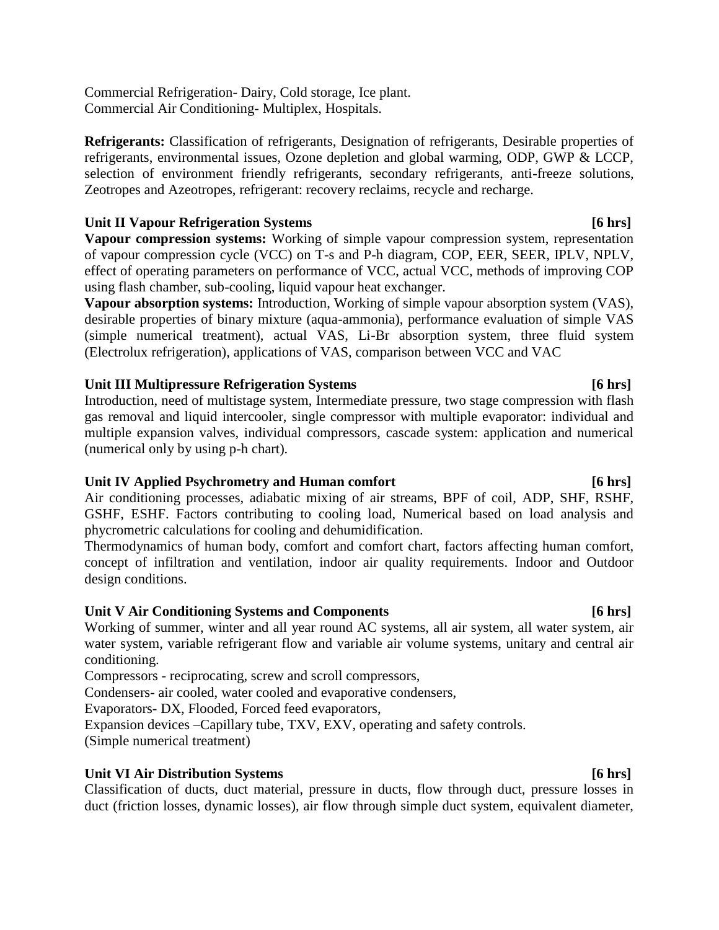Commercial Refrigeration- Dairy, Cold storage, Ice plant. Commercial Air Conditioning- Multiplex, Hospitals.

**Refrigerants:** Classification of refrigerants, Designation of refrigerants, Desirable properties of refrigerants, environmental issues, Ozone depletion and global warming, ODP, GWP & LCCP, selection of environment friendly refrigerants, secondary refrigerants, anti-freeze solutions, Zeotropes and Azeotropes, refrigerant: recovery reclaims, recycle and recharge.

### Unit II Vapour Refrigeration Systems **but all the set of the Systems** is the set of the set of the set of the set of the set of the set of the set of the set of the set of the set of the set of the set of the set of the se

**Vapour compression systems:** Working of simple vapour compression system, representation of vapour compression cycle (VCC) on T-s and P-h diagram, COP, EER, SEER, IPLV, NPLV, effect of operating parameters on performance of VCC, actual VCC, methods of improving COP using flash chamber, sub-cooling, liquid vapour heat exchanger.

**Vapour absorption systems:** Introduction, Working of simple vapour absorption system (VAS), desirable properties of binary mixture (aqua-ammonia), performance evaluation of simple VAS (simple numerical treatment), actual VAS, Li-Br absorption system, three fluid system (Electrolux refrigeration), applications of VAS, comparison between VCC and VAC

### Unit III Multipressure Refrigeration Systems **and Systems [6 hrs]**

Introduction, need of multistage system, Intermediate pressure, two stage compression with flash gas removal and liquid intercooler, single compressor with multiple evaporator: individual and multiple expansion valves, individual compressors, cascade system: application and numerical (numerical only by using p-h chart).

# Unit IV Applied Psychrometry and Human comfort *If* **EXECUTE:** [6 hrs]

Air conditioning processes, adiabatic mixing of air streams, BPF of coil, ADP, SHF, RSHF, GSHF, ESHF. Factors contributing to cooling load, Numerical based on load analysis and phycrometric calculations for cooling and dehumidification.

Thermodynamics of human body, comfort and comfort chart, factors affecting human comfort, concept of infiltration and ventilation, indoor air quality requirements. Indoor and Outdoor design conditions.

### Unit V Air Conditioning Systems and Components **1996 1997 1998 1998 1998 1998 1999 1999 1999 1999 1999 1999 1999 1999 1999 1999 1999 1999 1999 1999 1999 1999 1999 1999 1999**

Working of summer, winter and all year round AC systems, all air system, all water system, air water system, variable refrigerant flow and variable air volume systems, unitary and central air conditioning.

Compressors - reciprocating, screw and scroll compressors,

Condensers- air cooled, water cooled and evaporative condensers,

Evaporators- DX, Flooded, Forced feed evaporators,

Expansion devices –Capillary tube, TXV, EXV, operating and safety controls.

(Simple numerical treatment)

### Unit VI Air Distribution Systems **and Systems [6 hrs]**

Classification of ducts, duct material, pressure in ducts, flow through duct, pressure losses in duct (friction losses, dynamic losses), air flow through simple duct system, equivalent diameter,